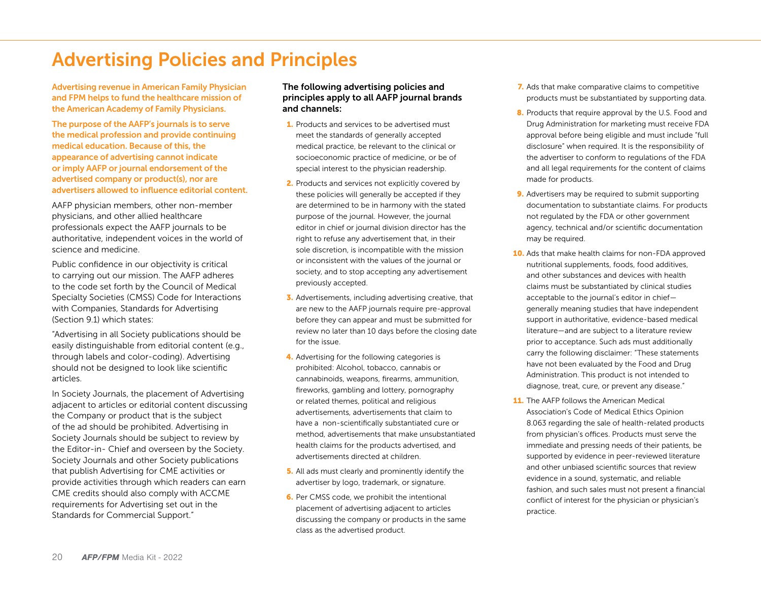## Advertising Policies and Principles

Advertising revenue in American Family Physician and FPM helps to fund the healthcare mission of the American Academy of Family Physicians.

The purpose of the AAFP's journals is to serve the medical profession and provide continuing medical education. Because of this, the appearance of advertising cannot indicate or imply AAFP or journal endorsement of the advertised company or product(s), nor are advertisers allowed to influence editorial content.

AAFP physician members, other non-member physicians, and other allied healthcare professionals expect the AAFP journals to be authoritative, independent voices in the world of science and medicine.

Public confidence in our objectivity is critical to carrying out our mission. The AAFP adheres to the code set forth by the Council of Medical Specialty Societies (CMSS) Code for Interactions with Companies, Standards for Advertising (Section 9.1) which states:

"Advertising in all Society publications should be easily distinguishable from editorial content (e.g., through labels and color-coding). Advertising should not be designed to look like scientific articles.

In Society Journals, the placement of Advertising adjacent to articles or editorial content discussing the Company or product that is the subject of the ad should be prohibited. Advertising in Society Journals should be subject to review by the Editor-in- Chief and overseen by the Society. Society Journals and other Society publications that publish Advertising for CME activities or provide activities through which readers can earn CME credits should also comply with ACCME requirements for Advertising set out in the Standards for Commercial Support."

## The following advertising policies and principles apply to all AAFP journal brands and channels:

- 1. Products and services to be advertised must meet the standards of generally accepted medical practice, be relevant to the clinical or socioeconomic practice of medicine, or be of special interest to the physician readership.
- 2. Products and services not explicitly covered by these policies will generally be accepted if they are determined to be in harmony with the stated purpose of the journal. However, the journal editor in chief or journal division director has the right to refuse any advertisement that, in their sole discretion, is incompatible with the mission or inconsistent with the values of the journal or society, and to stop accepting any advertisement previously accepted.
- 3. Advertisements, including advertising creative, that are new to the AAFP journals require pre-approval before they can appear and must be submitted for review no later than 10 days before the closing date for the issue.
- 4. Advertising for the following categories is prohibited: Alcohol, tobacco, cannabis or cannabinoids, weapons, firearms, ammunition, fireworks, gambling and lottery, pornography or related themes, political and religious advertisements, advertisements that claim to have a non-scientifically substantiated cure or method, advertisements that make unsubstantiated health claims for the products advertised, and advertisements directed at children.
- 5. All ads must clearly and prominently identify the advertiser by logo, trademark, or signature.
- 6. Per CMSS code, we prohibit the intentional placement of advertising adjacent to articles discussing the company or products in the same class as the advertised product.
- 7. Ads that make comparative claims to competitive products must be substantiated by supporting data.
- 8. Products that require approval by the U.S. Food and Drug Administration for marketing must receive FDA approval before being eligible and must include "full disclosure" when required. It is the responsibility of the advertiser to conform to regulations of the FDA and all legal requirements for the content of claims made for products.
- **9.** Advertisers may be required to submit supporting documentation to substantiate claims. For products not regulated by the FDA or other government agency, technical and/or scientific documentation may be required.
- 10. Ads that make health claims for non-FDA approved nutritional supplements, foods, food additives, and other substances and devices with health claims must be substantiated by clinical studies acceptable to the journal's editor in chief generally meaning studies that have independent support in authoritative, evidence-based medical literature—and are subject to a literature review prior to acceptance. Such ads must additionally carry the following disclaimer: "These statements have not been evaluated by the Food and Drug Administration. This product is not intended to diagnose, treat, cure, or prevent any disease."
- 11. The AAFP follows the American Medical Association's Code of Medical Ethics Opinion 8.063 regarding the sale of health-related products from physician's offices. Products must serve the immediate and pressing needs of their patients, be supported by evidence in peer-reviewed literature and other unbiased scientific sources that review evidence in a sound, systematic, and reliable fashion, and such sales must not present a financial conflict of interest for the physician or physician's practice.